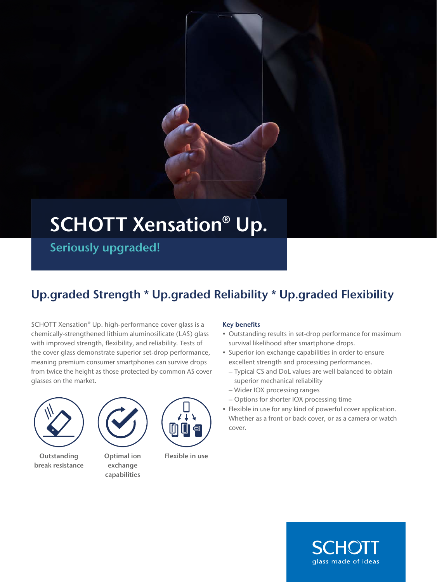## SCHOTT Xensation® Up.

Seriously upgraded!

### Up.graded Strength \* Up.graded Reliability \* Up.graded Flexibility

SCHOTT Xensation® Up. high-performance cover glass is a chemically-strengthened lithium aluminosilicate (LAS) glass with improved strength, flexibility, and reliability. Tests of the cover glass demonstrate superior set-drop performance, meaning premium consumer smartphones can survive drops from twice the height as those protected by common AS cover glasses on the market.



**Outstanding** break resistance



Optimal ion exchange capabilities



Flexible in use

### Key benefits

- Outstanding results in set-drop performance for maximum survival likelihood after smartphone drops.
- Superior ion exchange capabilities in order to ensure excellent strength and processing performances.
	- Typical CS and DoL values are well balanced to obtain superior mechanical reliability
	- Wider IOX processing ranges
- Options for shorter IOX processing time
- Flexible in use for any kind of powerful cover application. Whether as a front or back cover, or as a camera or watch cover.